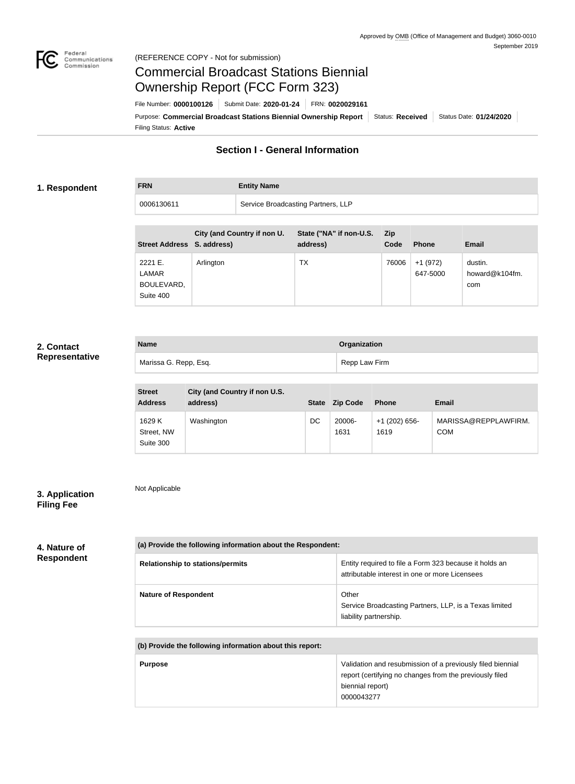com



Not Applicable

BOULEVARD, Suite 400

# Commercial Broadcast Stations Biennial Ownership Report (FCC Form 323)

Filing Status: **Active** Purpose: Commercial Broadcast Stations Biennial Ownership Report Status: Received Status Date: 01/24/2020 File Number: **0000100126** Submit Date: **2020-01-24** FRN: **0020029161**

## **Section I - General Information**

### **1. Respondent**

**FRN Entity Name**

| 0006130611                 |                             | Service Broadcasting Partners, LLP  |             |                      |                           |
|----------------------------|-----------------------------|-------------------------------------|-------------|----------------------|---------------------------|
| Street Address S. address) | City (and Country if non U. | State ("NA" if non-U.S.<br>address) | Zip<br>Code | <b>Phone</b>         | <b>Email</b>              |
| 2221 E.<br>LAMAR           | Arlington                   | ТX                                  | 76006       | +1 (972)<br>647-5000 | dustin.<br>howard@k104fm. |

### **2. Contact Representative**

| <b>Name</b>           | Organization  |
|-----------------------|---------------|
| Marissa G. Repp, Esq. | Repp Law Firm |

| <b>Street</b><br><b>Address</b>   | City (and Country if non U.S.<br>address) | <b>State</b> | <b>Zip Code</b> | <b>Phone</b>            | <b>Email</b>                       |
|-----------------------------------|-------------------------------------------|--------------|-----------------|-------------------------|------------------------------------|
| 1629 K<br>Street, NW<br>Suite 300 | Washington                                | DC           | 20006-<br>1631  | $+1$ (202) 656-<br>1619 | MARISSA@REPPLAWFIRM.<br><b>COM</b> |

### **3. Application Filing Fee**

**4. Nature of Respondent**

| (a) Provide the following information about the Respondent: |                                                                                                          |  |
|-------------------------------------------------------------|----------------------------------------------------------------------------------------------------------|--|
| <b>Relationship to stations/permits</b>                     | Entity required to file a Form 323 because it holds an<br>attributable interest in one or more Licensees |  |
| <b>Nature of Respondent</b>                                 | Other<br>Service Broadcasting Partners, LLP, is a Texas limited<br>liability partnership.                |  |
| (b) Provide the following information about this report:    |                                                                                                          |  |

| <b>Purpose</b> | Validation and resubmission of a previously filed biennial<br>report (certifying no changes from the previously filed<br>biennial report)<br>0000043277 |
|----------------|---------------------------------------------------------------------------------------------------------------------------------------------------------|
|                |                                                                                                                                                         |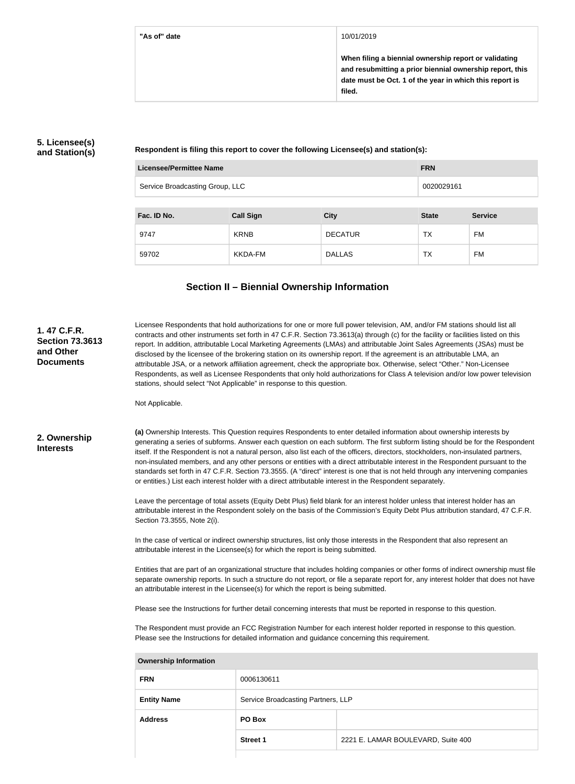### **"As of" date** 10/01/2019

**When filing a biennial ownership report or validating and resubmitting a prior biennial ownership report, this date must be Oct. 1 of the year in which this report is filed.**

### **5. Licensee(s) and Station(s)**

**Respondent is filing this report to cover the following Licensee(s) and station(s):**

| Licensee/Permittee Name         | <b>FRN</b> |
|---------------------------------|------------|
| Service Broadcasting Group, LLC | 0020029161 |
|                                 |            |

| Fac. ID No. | <b>Call Sign</b> | <b>City</b>    | <b>State</b> | <b>Service</b> |
|-------------|------------------|----------------|--------------|----------------|
| 9747        | <b>KRNB</b>      | <b>DECATUR</b> | ТX           | FM             |
| 59702       | KKDA-FM          | <b>DALLAS</b>  | ТX           | FM             |

# **Section II – Biennial Ownership Information**

| 1.47 C.F.R.<br><b>Section 73.3613</b><br>and Other<br><b>Documents</b> | Licensee Respondents that hold authorizations for one or more full power television, AM, and/or FM stations should list all<br>contracts and other instruments set forth in 47 C.F.R. Section 73.3613(a) through (c) for the facility or facilities listed on this<br>report. In addition, attributable Local Marketing Agreements (LMAs) and attributable Joint Sales Agreements (JSAs) must be<br>disclosed by the licensee of the brokering station on its ownership report. If the agreement is an attributable LMA, an<br>attributable JSA, or a network affiliation agreement, check the appropriate box. Otherwise, select "Other." Non-Licensee<br>Respondents, as well as Licensee Respondents that only hold authorizations for Class A television and/or low power television<br>stations, should select "Not Applicable" in response to this question.<br>Not Applicable.                                                                                                                                                                  |                 |                                                                                                                         |
|------------------------------------------------------------------------|--------------------------------------------------------------------------------------------------------------------------------------------------------------------------------------------------------------------------------------------------------------------------------------------------------------------------------------------------------------------------------------------------------------------------------------------------------------------------------------------------------------------------------------------------------------------------------------------------------------------------------------------------------------------------------------------------------------------------------------------------------------------------------------------------------------------------------------------------------------------------------------------------------------------------------------------------------------------------------------------------------------------------------------------------------|-----------------|-------------------------------------------------------------------------------------------------------------------------|
| 2. Ownership<br><b>Interests</b>                                       | (a) Ownership Interests. This Question requires Respondents to enter detailed information about ownership interests by<br>generating a series of subforms. Answer each question on each subform. The first subform listing should be for the Respondent<br>itself. If the Respondent is not a natural person, also list each of the officers, directors, stockholders, non-insulated partners,<br>non-insulated members, and any other persons or entities with a direct attributable interest in the Respondent pursuant to the<br>standards set forth in 47 C.F.R. Section 73.3555. (A "direct" interest is one that is not held through any intervening companies<br>or entities.) List each interest holder with a direct attributable interest in the Respondent separately.<br>Leave the percentage of total assets (Equity Debt Plus) field blank for an interest holder unless that interest holder has an<br>attributable interest in the Respondent solely on the basis of the Commission's Equity Debt Plus attribution standard, 47 C.F.R. |                 |                                                                                                                         |
|                                                                        | Section 73.3555, Note 2(i).                                                                                                                                                                                                                                                                                                                                                                                                                                                                                                                                                                                                                                                                                                                                                                                                                                                                                                                                                                                                                            |                 |                                                                                                                         |
|                                                                        | In the case of vertical or indirect ownership structures, list only those interests in the Respondent that also represent an<br>attributable interest in the Licensee(s) for which the report is being submitted.                                                                                                                                                                                                                                                                                                                                                                                                                                                                                                                                                                                                                                                                                                                                                                                                                                      |                 |                                                                                                                         |
|                                                                        | Entities that are part of an organizational structure that includes holding companies or other forms of indirect ownership must file<br>separate ownership reports. In such a structure do not report, or file a separate report for, any interest holder that does not have<br>an attributable interest in the Licensee(s) for which the report is being submitted.                                                                                                                                                                                                                                                                                                                                                                                                                                                                                                                                                                                                                                                                                   |                 |                                                                                                                         |
|                                                                        |                                                                                                                                                                                                                                                                                                                                                                                                                                                                                                                                                                                                                                                                                                                                                                                                                                                                                                                                                                                                                                                        |                 | Please see the Instructions for further detail concerning interests that must be reported in response to this question. |
|                                                                        | The Respondent must provide an FCC Registration Number for each interest holder reported in response to this question.<br>Please see the Instructions for detailed information and guidance concerning this requirement.                                                                                                                                                                                                                                                                                                                                                                                                                                                                                                                                                                                                                                                                                                                                                                                                                               |                 |                                                                                                                         |
|                                                                        | <b>Ownership Information</b>                                                                                                                                                                                                                                                                                                                                                                                                                                                                                                                                                                                                                                                                                                                                                                                                                                                                                                                                                                                                                           |                 |                                                                                                                         |
|                                                                        | <b>FRN</b>                                                                                                                                                                                                                                                                                                                                                                                                                                                                                                                                                                                                                                                                                                                                                                                                                                                                                                                                                                                                                                             | 0006130611      |                                                                                                                         |
|                                                                        | Service Broadcasting Partners, LLP<br><b>Entity Name</b>                                                                                                                                                                                                                                                                                                                                                                                                                                                                                                                                                                                                                                                                                                                                                                                                                                                                                                                                                                                               |                 |                                                                                                                         |
|                                                                        | <b>Address</b>                                                                                                                                                                                                                                                                                                                                                                                                                                                                                                                                                                                                                                                                                                                                                                                                                                                                                                                                                                                                                                         | PO Box          |                                                                                                                         |
|                                                                        |                                                                                                                                                                                                                                                                                                                                                                                                                                                                                                                                                                                                                                                                                                                                                                                                                                                                                                                                                                                                                                                        | <b>Street 1</b> | 2221 E. LAMAR BOULEVARD, Suite 400                                                                                      |
|                                                                        |                                                                                                                                                                                                                                                                                                                                                                                                                                                                                                                                                                                                                                                                                                                                                                                                                                                                                                                                                                                                                                                        |                 |                                                                                                                         |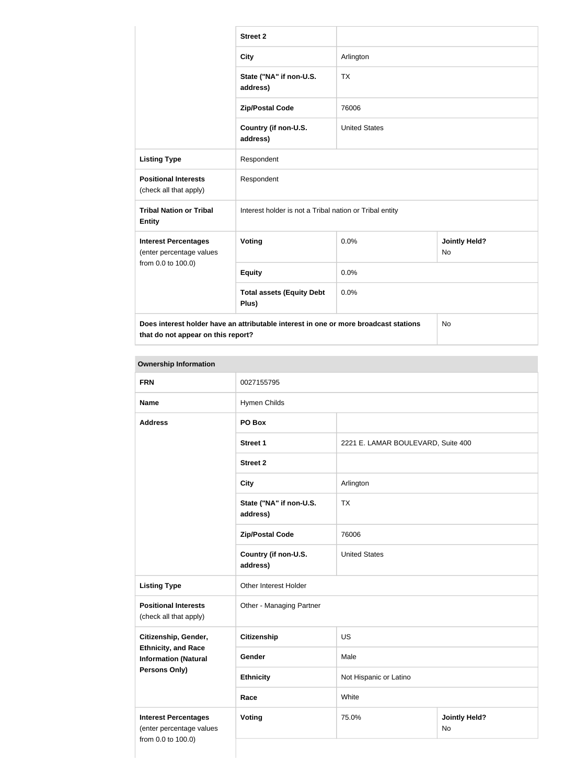|                                                                                                                                         | <b>Street 2</b>                                         |                      |                                   |  |
|-----------------------------------------------------------------------------------------------------------------------------------------|---------------------------------------------------------|----------------------|-----------------------------------|--|
|                                                                                                                                         | <b>City</b>                                             | Arlington            |                                   |  |
|                                                                                                                                         | State ("NA" if non-U.S.<br>address)                     | <b>TX</b>            |                                   |  |
|                                                                                                                                         | <b>Zip/Postal Code</b>                                  | 76006                |                                   |  |
|                                                                                                                                         | Country (if non-U.S.<br>address)                        | <b>United States</b> |                                   |  |
| <b>Listing Type</b>                                                                                                                     | Respondent                                              |                      |                                   |  |
| <b>Positional Interests</b><br>(check all that apply)                                                                                   | Respondent                                              |                      |                                   |  |
| <b>Tribal Nation or Tribal</b><br><b>Entity</b>                                                                                         | Interest holder is not a Tribal nation or Tribal entity |                      |                                   |  |
| <b>Interest Percentages</b><br>(enter percentage values                                                                                 | Voting                                                  | 0.0%                 | <b>Jointly Held?</b><br><b>No</b> |  |
| from 0.0 to 100.0)                                                                                                                      | <b>Equity</b>                                           | 0.0%                 |                                   |  |
|                                                                                                                                         | <b>Total assets (Equity Debt</b><br>Plus)               | 0.0%                 |                                   |  |
| Does interest holder have an attributable interest in one or more broadcast stations<br><b>No</b><br>that do not appear on this report? |                                                         |                      |                                   |  |

### **Ownership Information**

| <b>FRN</b>                                                                    | 0027155795                          |                                    |                                   |
|-------------------------------------------------------------------------------|-------------------------------------|------------------------------------|-----------------------------------|
| <b>Name</b>                                                                   | Hymen Childs                        |                                    |                                   |
| <b>Address</b>                                                                | PO Box                              |                                    |                                   |
|                                                                               | <b>Street 1</b>                     | 2221 E. LAMAR BOULEVARD, Suite 400 |                                   |
|                                                                               | <b>Street 2</b>                     |                                    |                                   |
|                                                                               | <b>City</b>                         | Arlington                          |                                   |
|                                                                               | State ("NA" if non-U.S.<br>address) | <b>TX</b>                          |                                   |
|                                                                               | <b>Zip/Postal Code</b>              | 76006                              |                                   |
|                                                                               | Country (if non-U.S.<br>address)    | <b>United States</b>               |                                   |
| <b>Listing Type</b>                                                           | Other Interest Holder               |                                    |                                   |
| <b>Positional Interests</b><br>(check all that apply)                         | Other - Managing Partner            |                                    |                                   |
| Citizenship, Gender,                                                          | <b>Citizenship</b>                  | US                                 |                                   |
| <b>Ethnicity, and Race</b><br><b>Information (Natural</b>                     | Gender                              | Male                               |                                   |
| <b>Persons Only)</b>                                                          | <b>Ethnicity</b>                    | Not Hispanic or Latino             |                                   |
|                                                                               | Race                                | White                              |                                   |
| <b>Interest Percentages</b><br>(enter percentage values<br>from 0.0 to 100.0) | <b>Voting</b>                       | 75.0%                              | <b>Jointly Held?</b><br><b>No</b> |
|                                                                               |                                     |                                    |                                   |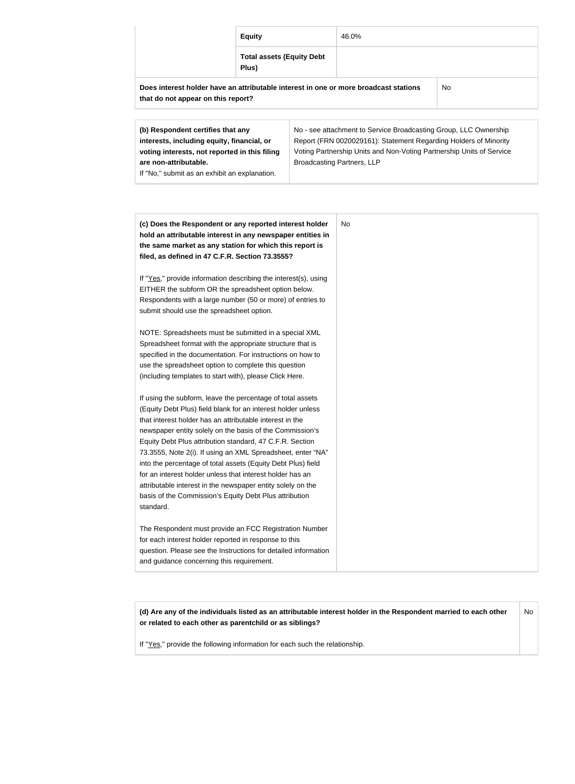|                                       | <b>Equity</b> |                                  | 46.0%                                                                                |           |
|---------------------------------------|---------------|----------------------------------|--------------------------------------------------------------------------------------|-----------|
|                                       | Plus)         | <b>Total assets (Equity Debt</b> |                                                                                      |           |
| that do not appear on this report?    |               |                                  | Does interest holder have an attributable interest in one or more broadcast stations | <b>No</b> |
| (b) Decreased not contified that only |               |                                  | No. ass attachment to Cangias Preadeopting Crown LLC Quinerable                      |           |

| (b) Respondent certifies that any             | No - see attachment to Service Broadcasting Group, LLC Ownership     |
|-----------------------------------------------|----------------------------------------------------------------------|
| interests, including equity, financial, or    | Report (FRN 0020029161): Statement Regarding Holders of Minority     |
| voting interests, not reported in this filing | Voting Partnership Units and Non-Voting Partnership Units of Service |
| are non-attributable.                         | <b>Broadcasting Partners, LLP</b>                                    |
| If "No," submit as an exhibit an explanation. |                                                                      |

| (c) Does the Respondent or any reported interest holder<br>hold an attributable interest in any newspaper entities in<br>the same market as any station for which this report is | No |
|----------------------------------------------------------------------------------------------------------------------------------------------------------------------------------|----|
| filed, as defined in 47 C.F.R. Section 73.3555?                                                                                                                                  |    |
| If "Yes," provide information describing the interest(s), using                                                                                                                  |    |
| EITHER the subform OR the spreadsheet option below.                                                                                                                              |    |
| Respondents with a large number (50 or more) of entries to                                                                                                                       |    |
| submit should use the spreadsheet option.                                                                                                                                        |    |
| NOTE: Spreadsheets must be submitted in a special XML                                                                                                                            |    |
| Spreadsheet format with the appropriate structure that is                                                                                                                        |    |
| specified in the documentation. For instructions on how to                                                                                                                       |    |
| use the spreadsheet option to complete this question                                                                                                                             |    |
| (including templates to start with), please Click Here.                                                                                                                          |    |
| If using the subform, leave the percentage of total assets                                                                                                                       |    |
| (Equity Debt Plus) field blank for an interest holder unless                                                                                                                     |    |
| that interest holder has an attributable interest in the                                                                                                                         |    |
| newspaper entity solely on the basis of the Commission's                                                                                                                         |    |
| Equity Debt Plus attribution standard, 47 C.F.R. Section                                                                                                                         |    |
| 73.3555, Note 2(i). If using an XML Spreadsheet, enter "NA"                                                                                                                      |    |
| into the percentage of total assets (Equity Debt Plus) field                                                                                                                     |    |
| for an interest holder unless that interest holder has an                                                                                                                        |    |
| attributable interest in the newspaper entity solely on the                                                                                                                      |    |
| basis of the Commission's Equity Debt Plus attribution                                                                                                                           |    |
| standard.                                                                                                                                                                        |    |
| The Respondent must provide an FCC Registration Number                                                                                                                           |    |
| for each interest holder reported in response to this                                                                                                                            |    |
| question. Please see the Instructions for detailed information                                                                                                                   |    |
| and guidance concerning this requirement.                                                                                                                                        |    |

**(d) Are any of the individuals listed as an attributable interest holder in the Respondent married to each other or related to each other as parentchild or as siblings?** No

If "Yes," provide the following information for each such the relationship.